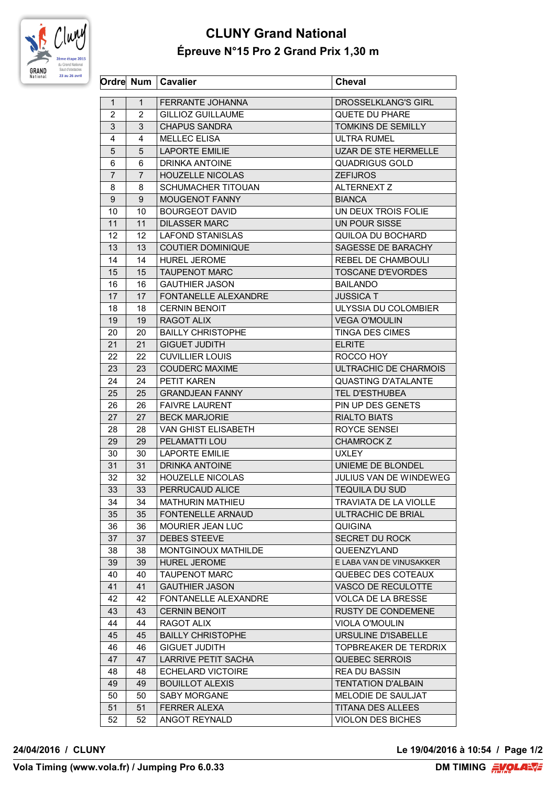

## **CLUNY Grand National Épreuve N°15 Pro 2 Grand Prix 1,30 m**

|                |                | Ordre Num   Cavalier        | <b>Cheval</b>                 |
|----------------|----------------|-----------------------------|-------------------------------|
| $\mathbf{1}$   | $\mathbf{1}$   | FERRANTE JOHANNA            | <b>DROSSELKLANG'S GIRL</b>    |
| 2              | 2              | <b>GILLIOZ GUILLAUME</b>    | QUETE DU PHARE                |
| 3              | 3              | <b>CHAPUS SANDRA</b>        | TOMKINS DE SEMILLY            |
| 4              | 4              | <b>MELLEC ELISA</b>         | <b>ULTRA RUMEL</b>            |
| 5              | 5              | <b>LAPORTE EMILIE</b>       | UZAR DE STE HERMELLE          |
| 6              | 6              | <b>DRINKA ANTOINE</b>       | <b>QUADRIGUS GOLD</b>         |
| $\overline{7}$ |                |                             |                               |
|                | $\overline{7}$ | <b>HOUZELLE NICOLAS</b>     | <b>ZEFIJROS</b>               |
| 8              | 8              | <b>SCHUMACHER TITOUAN</b>   | <b>ALTERNEXT Z</b>            |
| 9              | 9              | MOUGENOT FANNY              | <b>BIANCA</b>                 |
| 10             | 10             | <b>BOURGEOT DAVID</b>       | UN DEUX TROIS FOLIE           |
| 11             | 11             | <b>DILASSER MARC</b>        | UN POUR SISSE                 |
| 12             | 12             | <b>LAFOND STANISLAS</b>     | QUILOA DU BOCHARD             |
| 13             | 13             | <b>COUTIER DOMINIQUE</b>    | SAGESSE DE BARACHY            |
| 14             | 14             | <b>HUREL JEROME</b>         | REBEL DE CHAMBOULI            |
| 15             | 15             | <b>TAUPENOT MARC</b>        | <b>TOSCANE D'EVORDES</b>      |
| 16             | 16             | <b>GAUTHIER JASON</b>       | <b>BAILANDO</b>               |
| 17             | 17             | FONTANELLE ALEXANDRE        | <b>JUSSICA T</b>              |
| 18             | 18             | <b>CERNIN BENOIT</b>        | ULYSSIA DU COLOMBIER          |
| 19             | 19             | RAGOT ALIX                  | <b>VEGA O'MOULIN</b>          |
| 20             | 20             | <b>BAILLY CHRISTOPHE</b>    | <b>TINGA DES CIMES</b>        |
| 21             | 21             | <b>GIGUET JUDITH</b>        | <b>ELRITE</b>                 |
| 22             | 22             | <b>CUVILLIER LOUIS</b>      | ROCCO HOY                     |
| 23             | 23             | <b>COUDERC MAXIME</b>       | <b>ULTRACHIC DE CHARMOIS</b>  |
| 24             | 24             | <b>PETIT KAREN</b>          | <b>QUASTING D'ATALANTE</b>    |
| 25             | 25             | <b>GRANDJEAN FANNY</b>      | <b>TEL D'ESTHUBEA</b>         |
| 26             | 26             | <b>FAIVRE LAURENT</b>       | PIN UP DES GENETS             |
| 27             | 27             | <b>BECK MARJORIE</b>        | <b>RIALTO BIATS</b>           |
| 28             | 28             | VAN GHIST ELISABETH         | ROYCE SENSEI                  |
| 29             | 29             | PELAMATTI LOU               | <b>CHAMROCK Z</b>             |
| 30             | 30             | <b>LAPORTE EMILIE</b>       | <b>UXLEY</b>                  |
| 31             | 31             | DRINKA ANTOINE              | UNIEME DE BLONDEL             |
| 32             | 32             | <b>HOUZELLE NICOLAS</b>     | <b>JULIUS VAN DE WINDEWEG</b> |
| 33             | 33             | PERRUCAUD ALICE             | <b>TEQUILA DU SUD</b>         |
|                |                |                             |                               |
| 34             | 34             | <b>MATHURIN MATHIEU</b>     | TRAVIATA DE LA VIOLLE         |
| 35             | 35             | FONTENELLE ARNAUD           | ULTRACHIC DE BRIAL            |
| 36             | 36             | <b>MOURIER JEAN LUC</b>     | <b>QUIGINA</b>                |
| 37             | 37             | <b>DEBES STEEVE</b>         | <b>SECRET DU ROCK</b>         |
| 38             | 38             | MONTGINOUX MATHILDE         | QUEENZYLAND                   |
| 39             | 39             | <b>HUREL JEROME</b>         | E LABA VAN DE VINUSAKKER      |
| 40             | 40             | <b>TAUPENOT MARC</b>        | QUEBEC DES COTEAUX            |
| 41             | 41             | <b>GAUTHIER JASON</b>       | VASCO DE RECULOTTE            |
| 42             | 42.            | <b>FONTANELLE ALEXANDRE</b> | <b>VOLCA DE LA BRESSE</b>     |
| 43             | 43             | <b>CERNIN BENOIT</b>        | <b>RUSTY DE CONDEMENE</b>     |
| 44             | 44             | RAGOT ALIX                  | <b>VIOLA O'MOULIN</b>         |
| 45             | 45             | <b>BAILLY CHRISTOPHE</b>    | URSULINE D'ISABELLE           |
| 46             | 46             | <b>GIGUET JUDITH</b>        | TOPBREAKER DE TERDRIX         |
| 47             | 47             | LARRIVE PETIT SACHA         | <b>QUEBEC SERROIS</b>         |
| 48             | 48             | <b>ECHELARD VICTOIRE</b>    | <b>REA DU BASSIN</b>          |
| 49             | 49             | <b>BOUILLOT ALEXIS</b>      | <b>TENTATION D'ALBAIN</b>     |
| 50             | 50             | SABY MORGANE                | MELODIE DE SAULJAT            |
| 51             | 51             | <b>FERRER ALEXA</b>         | <b>TITANA DES ALLEES</b>      |
| 52             | 52             | ANGOT REYNALD               | <b>VIOLON DES BICHES</b>      |
|                |                |                             |                               |

**24/04/2016 / CLUNY Le 19/04/2016 à 10:54 / Page 1/2**